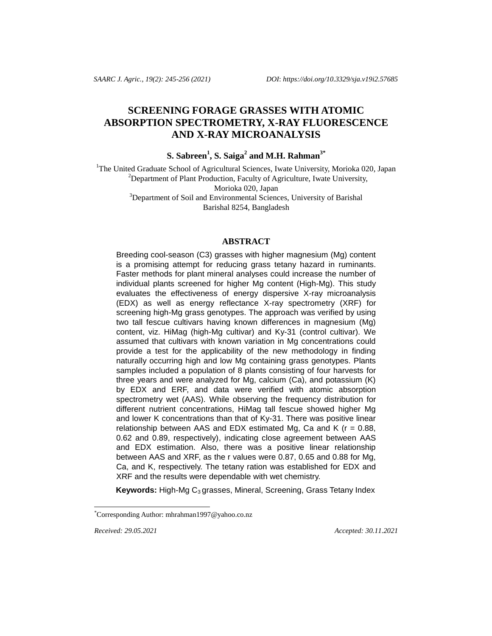# **SCREENING FORAGE GRASSES WITH ATOMIC ABSORPTION SPECTROMETRY, X-RAY FLUORESCENCE AND X-RAY MICROANALYSIS**

# **S. Sabreen<sup>1</sup> , S. Saiga<sup>2</sup> and M.H. Rahman3\***

<sup>1</sup>The United Graduate School of Agricultural Sciences, Iwate University, Morioka 020, Japan <sup>2</sup>Department of Plant Production, Faculty of Agriculture, Iwate University, Morioka 020, Japan  $3$ Department of Soil and Environmental Sciences, University of Barishal Barishal 8254, Bangladesh

#### **ABSTRACT**

Breeding cool-season (C3) grasses with higher magnesium (Mg) content is a promising attempt for reducing grass tetany hazard in ruminants. Faster methods for plant mineral analyses could increase the number of individual plants screened for higher Mg content (High-Mg). This study evaluates the effectiveness of energy dispersive X-ray microanalysis (EDX) as well as energy reflectance X-ray spectrometry (XRF) for screening high-Mg grass genotypes. The approach was verified by using two tall fescue cultivars having known differences in magnesium (Mg) content, viz. HiMag (high-Mg cultivar) and Ky-31 (control cultivar). We assumed that cultivars with known variation in Mg concentrations could provide a test for the applicability of the new methodology in finding naturally occurring high and low Mg containing grass genotypes. Plants samples included a population of 8 plants consisting of four harvests for three years and were analyzed for Mg, calcium (Ca), and potassium (K) by EDX and ERF, and data were verified with atomic absorption spectrometry wet (AAS). While observing the frequency distribution for different nutrient concentrations, HiMag tall fescue showed higher Mg and lower K concentrations than that of Ky-31. There was positive linear relationship between AAS and EDX estimated Mg, Ca and K ( $r = 0.88$ , 0.62 and 0.89, respectively), indicating close agreement between AAS and EDX estimation. Also, there was a positive linear relationship between AAS and XRF, as the r values were 0.87, 0.65 and 0.88 for Mg, Ca, and K, respectively. The tetany ration was established for EDX and XRF and the results were dependable with wet chemistry.

Keywords: High-Mg C<sub>3</sub> grasses, Mineral, Screening, Grass Tetany Index

 $\overline{a}$ 

*Received: 29.05.2021 Accepted: 30.11.2021*

<sup>\*</sup>Corresponding Author: mhrahman1997@yahoo.co.nz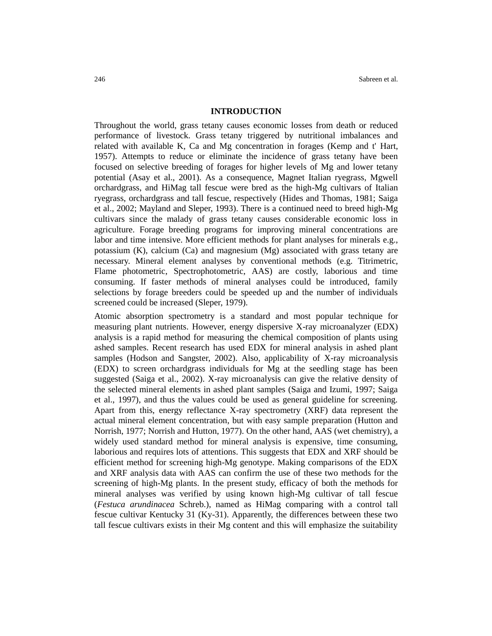#### **INTRODUCTION**

Throughout the world, grass tetany causes economic losses from death or reduced performance of livestock. Grass tetany triggered by nutritional imbalances and related with available K, Ca and Mg concentration in forages (Kemp and t' Hart, 1957). Attempts to reduce or eliminate the incidence of grass tetany have been focused on selective breeding of forages for higher levels of Mg and lower tetany potential (Asay et al., 2001). As a consequence, Magnet Italian ryegrass, Mgwell orchardgrass, and HiMag tall fescue were bred as the high-Mg cultivars of Italian ryegrass, orchardgrass and tall fescue, respectively (Hides and Thomas, 1981; Saiga et al., 2002; Mayland and Sleper, 1993). There is a continued need to breed high-Mg cultivars since the malady of grass tetany causes considerable economic loss in agriculture. Forage breeding programs for improving mineral concentrations are labor and time intensive. More efficient methods for plant analyses for minerals e.g., potassium (K), calcium (Ca) and magnesium (Mg) associated with grass tetany are necessary. Mineral element analyses by conventional methods (e.g. Titrimetric, Flame photometric, Spectrophotometric, AAS) are costly, laborious and time consuming. If faster methods of mineral analyses could be introduced, family selections by forage breeders could be speeded up and the number of individuals screened could be increased (Sleper, 1979).

Atomic absorption spectrometry is a standard and most popular technique for measuring plant nutrients. However, energy dispersive X-ray microanalyzer (EDX) analysis is a rapid method for measuring the chemical composition of plants using ashed samples. Recent research has used EDX for mineral analysis in ashed plant samples (Hodson and Sangster, 2002). Also, applicability of X-ray microanalysis (EDX) to screen orchardgrass individuals for Mg at the seedling stage has been suggested (Saiga et al., 2002). X-ray microanalysis can give the relative density of the selected mineral elements in ashed plant samples (Saiga and Izumi, 1997; Saiga et al., 1997), and thus the values could be used as general guideline for screening. Apart from this, energy reflectance X-ray spectrometry (XRF) data represent the actual mineral element concentration, but with easy sample preparation (Hutton and Norrish, 1977; Norrish and Hutton, 1977). On the other hand, AAS (wet chemistry), a widely used standard method for mineral analysis is expensive, time consuming, laborious and requires lots of attentions. This suggests that EDX and XRF should be efficient method for screening high-Mg genotype. Making comparisons of the EDX and XRF analysis data with AAS can confirm the use of these two methods for the screening of high-Mg plants. In the present study, efficacy of both the methods for mineral analyses was verified by using known high-Mg cultivar of tall fescue (*Festuca arundinacea* Schreb.), named as HiMag comparing with a control tall fescue cultivar Kentucky 31 (Ky-31). Apparently, the differences between these two tall fescue cultivars exists in their Mg content and this will emphasize the suitability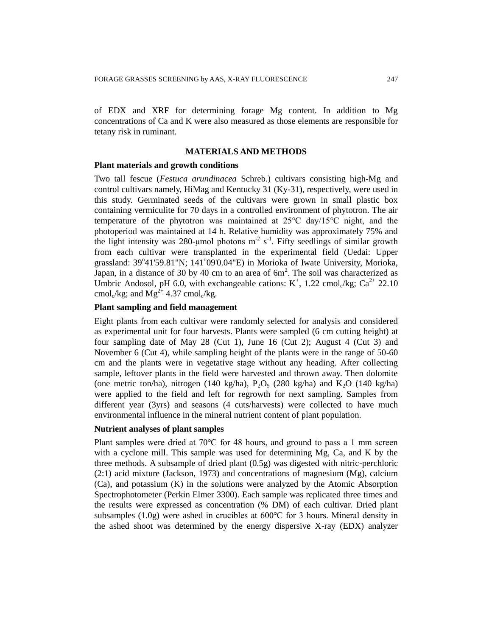of EDX and XRF for determining forage Mg content. In addition to Mg concentrations of Ca and K were also measured as those elements are responsible for tetany risk in ruminant.

# **MATERIALS AND METHODS**

# **Plant materials and growth conditions**

Two tall fescue (*Festuca arundinacea* Schreb.) cultivars consisting high-Mg and control cultivars namely, HiMag and Kentucky 31 (Ky-31), respectively, were used in this study. Germinated seeds of the cultivars were grown in small plastic box containing vermiculite for 70 days in a controlled environment of phytotron. The air temperature of the phytotron was maintained at 25℃ day/15℃ night, and the photoperiod was maintained at 14 h. Relative humidity was approximately 75% and the light intensity was 280-µmol photons  $m^2 s^{-1}$ . Fifty seedlings of similar growth from each cultivar were transplanted in the experimental field (Uedai: Upper grassland: 39°41'59.81"N; 141°09'0.04"E) in Morioka of Iwate University, Morioka, Japan, in a distance of 30 by 40 cm to an area of  $6m^2$ . The soil was characterized as Umbric Andosol, pH 6.0, with exchangeable cations:  $K^+$ , 1.22 cmol<sub>c</sub>/kg; Ca<sup>2+</sup> 22.10 cmol<sub>c</sub>/kg; and  $Mg^{2+}$  4.37 cmol<sub>c</sub>/kg.

# **Plant sampling and field management**

Eight plants from each cultivar were randomly selected for analysis and considered as experimental unit for four harvests. Plants were sampled (6 cm cutting height) at four sampling date of May 28 (Cut 1), June 16 (Cut 2); August 4 (Cut 3) and November 6 (Cut 4), while sampling height of the plants were in the range of 50-60 cm and the plants were in vegetative stage without any heading. After collecting sample, leftover plants in the field were harvested and thrown away. Then dolomite (one metric ton/ha), nitrogen (140 kg/ha),  $P_2O_5$  (280 kg/ha) and  $K_2O$  (140 kg/ha) were applied to the field and left for regrowth for next sampling. Samples from different year (3yrs) and seasons (4 cuts/harvests) were collected to have much environmental influence in the mineral nutrient content of plant population.

# **Nutrient analyses of plant samples**

Plant samples were dried at 70℃ for 48 hours, and ground to pass a 1 mm screen with a cyclone mill. This sample was used for determining Mg, Ca, and K by the three methods. A subsample of dried plant (0.5g) was digested with nitric-perchloric  $(2:1)$  acid mixture (Jackson, 1973) and concentrations of magnesium  $(Mg)$ , calcium (Ca), and potassium (K) in the solutions were analyzed by the Atomic Absorption Spectrophotometer (Perkin Elmer 3300). Each sample was replicated three times and the results were expressed as concentration (% DM) of each cultivar. Dried plant subsamples (1.0g) were ashed in crucibles at 600℃ for 3 hours. Mineral density in the ashed shoot was determined by the energy dispersive X-ray (EDX) analyzer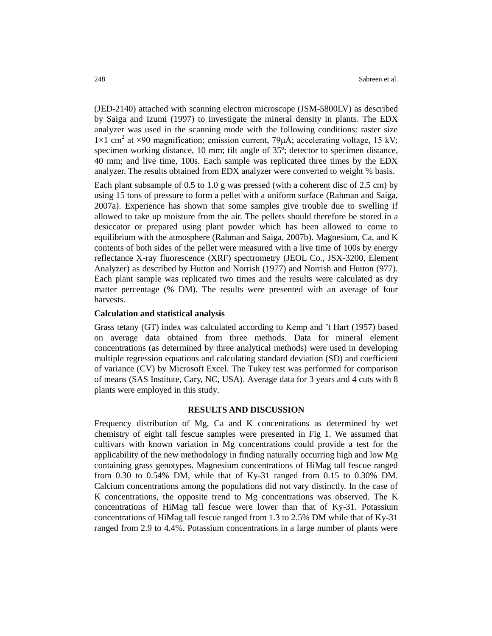(JED-2140) attached with scanning electron microscope (JSM-5800LV) as described by Saiga and Izumi (1997) to investigate the mineral density in plants. The EDX analyzer was used in the scanning mode with the following conditions: raster size 1×1 cm<sup>2</sup> at ×90 magnification; emission current, 79μÅ; accelerating voltage, 15 kV; specimen working distance, 10 mm; tilt angle of 35º; detector to specimen distance, 40 mm; and live time, 100s. Each sample was replicated three times by the EDX analyzer. The results obtained from EDX analyzer were converted to weight % basis.

Each plant subsample of 0.5 to 1.0 g was pressed (with a coherent disc of 2.5 cm) by using 15 tons of pressure to form a pellet with a uniform surface (Rahman and Saiga, 2007a). Experience has shown that some samples give trouble due to swelling if allowed to take up moisture from the air. The pellets should therefore be stored in a desiccator or prepared using plant powder which has been allowed to come to equilibrium with the atmosphere (Rahman and Saiga, 2007b). Magnesium, Ca, and K contents of both sides of the pellet were measured with a live time of 100s by energy reflectance X-ray fluorescence (XRF) spectrometry (JEOL Co., JSX-3200, Element Analyzer) as described by Hutton and Norrish (1977) and Norrish and Hutton (977). Each plant sample was replicated two times and the results were calculated as dry matter percentage (% DM). The results were presented with an average of four harvests.

### **Calculation and statistical analysis**

Grass tetany (GT) index was calculated according to Kemp and 't Hart (1957) based on average data obtained from three methods. Data for mineral element concentrations (as determined by three analytical methods) were used in developing multiple regression equations and calculating standard deviation (SD) and coefficient of variance (CV) by Microsoft Excel. The Tukey test was performed for comparison of means (SAS Institute, Cary, NC, USA). Average data for 3 years and 4 cuts with 8 plants were employed in this study.

### **RESULTS AND DISCUSSION**

Frequency distribution of Mg, Ca and K concentrations as determined by wet chemistry of eight tall fescue samples were presented in Fig 1. We assumed that cultivars with known variation in Mg concentrations could provide a test for the applicability of the new methodology in finding naturally occurring high and low Mg containing grass genotypes. Magnesium concentrations of HiMag tall fescue ranged from 0.30 to 0.54% DM, while that of Ky-31 ranged from 0.15 to 0.30% DM. Calcium concentrations among the populations did not vary distinctly. In the case of K concentrations, the opposite trend to Mg concentrations was observed. The K concentrations of HiMag tall fescue were lower than that of Ky-31. Potassium concentrations of HiMag tall fescue ranged from 1.3 to 2.5% DM while that of Ky-31 ranged from 2.9 to 4.4%. Potassium concentrations in a large number of plants were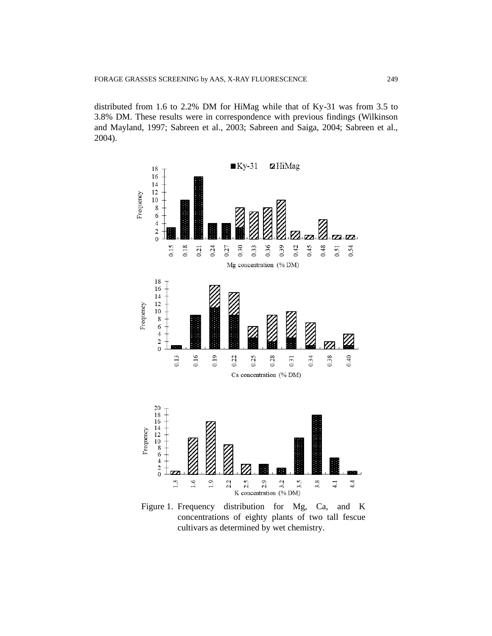distributed from 1.6 to 2.2% DM for HiMag while that of Ky-31 was from 3.5 to 3.8% DM. These results were in correspondence with previous findings (Wilkinson and Mayland, 1997; Sabreen et al., 2003; Sabreen and Saiga, 2004; Sabreen et al., 2004).



Figure 1. Frequency distribution for Mg, Ca, and K concentrations of eighty plants of two tall fescue cultivars as determined by wet chemistry.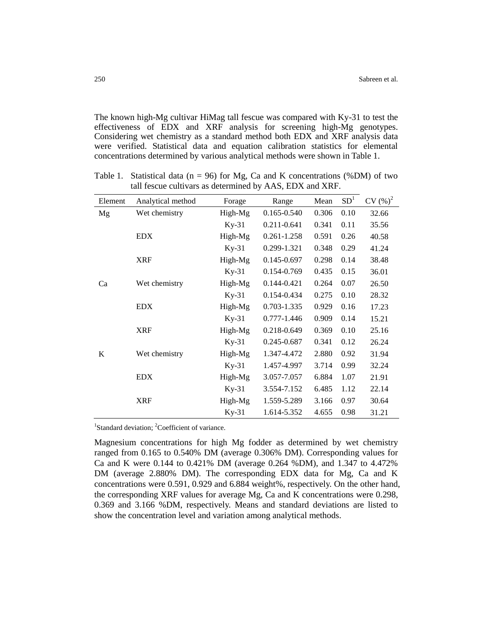The known high-Mg cultivar HiMag tall fescue was compared with Ky-31 to test the effectiveness of EDX and XRF analysis for screening high-Mg genotypes. Considering wet chemistry as a standard method both EDX and XRF analysis data were verified. Statistical data and equation calibration statistics for elemental concentrations determined by various analytical methods were shown in Table 1.

| Element | Analytical method | Forage  | Range           | Mean  | SD <sup>1</sup> | $CV(%)^2$ |
|---------|-------------------|---------|-----------------|-------|-----------------|-----------|
| Mg      | Wet chemistry     | High-Mg | 0.165-0.540     | 0.306 | 0.10            | 32.66     |
|         |                   | $Ky-31$ | 0.211-0.641     | 0.341 | 0.11            | 35.56     |
|         | <b>EDX</b>        | High-Mg | 0.261-1.258     | 0.591 | 0.26            | 40.58     |
|         |                   | $Ky-31$ | 0.299-1.321     | 0.348 | 0.29            | 41.24     |
|         | <b>XRF</b>        | High-Mg | $0.145 - 0.697$ | 0.298 | 0.14            | 38.48     |
|         |                   | $Ky-31$ | 0.154-0.769     | 0.435 | 0.15            | 36.01     |
| Ca      | Wet chemistry     | High-Mg | 0.144-0.421     | 0.264 | 0.07            | 26.50     |
|         |                   | $Ky-31$ | 0.154-0.434     | 0.275 | 0.10            | 28.32     |
|         | <b>EDX</b>        | High-Mg | 0.703-1.335     | 0.929 | 0.16            | 17.23     |
|         |                   | $Ky-31$ | $0.777 - 1.446$ | 0.909 | 0.14            | 15.21     |
|         | <b>XRF</b>        | High-Mg | 0.218-0.649     | 0.369 | 0.10            | 25.16     |
|         |                   | $Ky-31$ | 0.245-0.687     | 0.341 | 0.12            | 26.24     |
| K       | Wet chemistry     | High-Mg | 1.347-4.472     | 2.880 | 0.92            | 31.94     |
|         |                   | $Ky-31$ | 1.457-4.997     | 3.714 | 0.99            | 32.24     |
|         | <b>EDX</b>        | High-Mg | 3.057-7.057     | 6.884 | 1.07            | 21.91     |
|         |                   | $Ky-31$ | 3.554-7.152     | 6.485 | 1.12            | 22.14     |
|         | <b>XRF</b>        | High-Mg | 1.559-5.289     | 3.166 | 0.97            | 30.64     |
|         |                   | $Ky-31$ | 1.614-5.352     | 4.655 | 0.98            | 31.21     |

Table 1. Statistical data ( $n = 96$ ) for Mg, Ca and K concentrations (%DM) of two tall fescue cultivars as determined by AAS, EDX and XRF.

<sup>1</sup>Standard deviation; <sup>2</sup>Coefficient of variance.

Magnesium concentrations for high Mg fodder as determined by wet chemistry ranged from 0.165 to 0.540% DM (average 0.306% DM). Corresponding values for Ca and K were 0.144 to 0.421% DM (average 0.264 %DM), and 1.347 to 4.472% DM (average 2.880% DM). The corresponding EDX data for Mg, Ca and K concentrations were 0.591, 0.929 and 6.884 weight%, respectively. On the other hand, the corresponding XRF values for average Mg, Ca and K concentrations were 0.298, 0.369 and 3.166 %DM, respectively. Means and standard deviations are listed to show the concentration level and variation among analytical methods.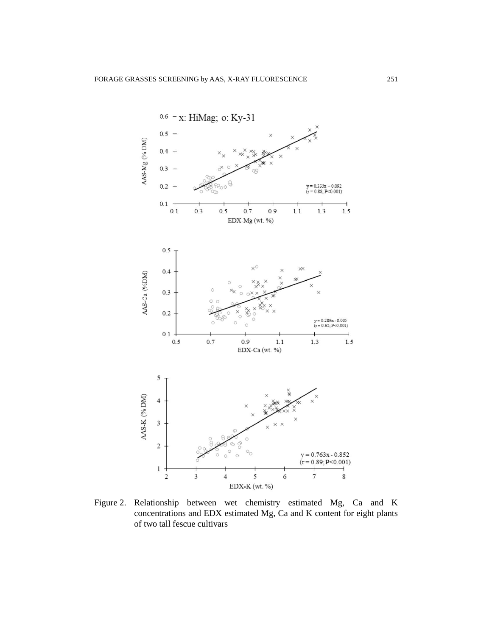

Figure 2. Relationship between wet chemistry estimated Mg, Ca and K concentrations and EDX estimated Mg, Ca and K content for eight plants of two tall fescue cultivars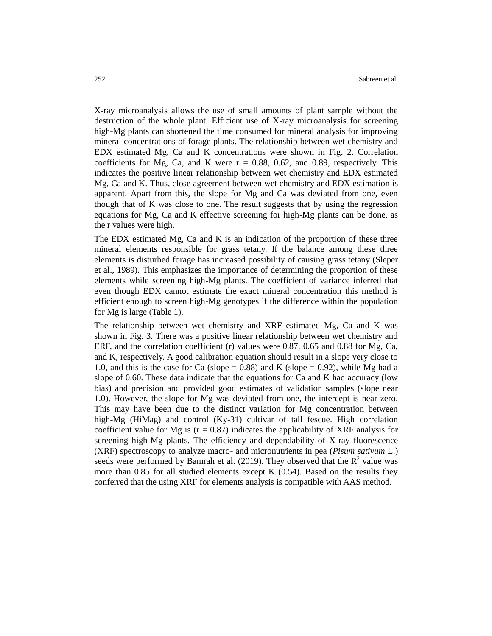X-ray microanalysis allows the use of small amounts of plant sample without the destruction of the whole plant. Efficient use of X-ray microanalysis for screening high-Mg plants can shortened the time consumed for mineral analysis for improving mineral concentrations of forage plants. The relationship between wet chemistry and EDX estimated Mg, Ca and K concentrations were shown in Fig. 2. Correlation coefficients for Mg, Ca, and K were  $r = 0.88, 0.62,$  and 0.89, respectively. This indicates the positive linear relationship between wet chemistry and EDX estimated Mg, Ca and K. Thus, close agreement between wet chemistry and EDX estimation is apparent. Apart from this, the slope for Mg and Ca was deviated from one, even though that of K was close to one. The result suggests that by using the regression equations for Mg, Ca and K effective screening for high-Mg plants can be done, as the r values were high.

The EDX estimated Mg, Ca and K is an indication of the proportion of these three mineral elements responsible for grass tetany. If the balance among these three elements is disturbed forage has increased possibility of causing grass tetany (Sleper et al., 1989). This emphasizes the importance of determining the proportion of these elements while screening high-Mg plants. The coefficient of variance inferred that even though EDX cannot estimate the exact mineral concentration this method is efficient enough to screen high-Mg genotypes if the difference within the population for Mg is large (Table 1).

The relationship between wet chemistry and XRF estimated Mg, Ca and K was shown in Fig. 3. There was a positive linear relationship between wet chemistry and ERF, and the correlation coefficient (r) values were 0.87, 0.65 and 0.88 for Mg, Ca, and K, respectively. A good calibration equation should result in a slope very close to 1.0, and this is the case for Ca (slope  $= 0.88$ ) and K (slope  $= 0.92$ ), while Mg had a slope of 0.60. These data indicate that the equations for Ca and K had accuracy (low bias) and precision and provided good estimates of validation samples (slope near 1.0). However, the slope for Mg was deviated from one, the intercept is near zero. This may have been due to the distinct variation for Mg concentration between high-Mg (HiMag) and control (Ky-31) cultivar of tall fescue. High correlation coefficient value for Mg is ( $r = 0.87$ ) indicates the applicability of XRF analysis for screening high-Mg plants. The efficiency and dependability of X-ray fluorescence (XRF) spectroscopy to analyze macro- and micronutrients in pea (*Pisum sativum* L.) seeds were performed by Bamrah et al. (2019). They observed that the  $R^2$  value was more than 0.85 for all studied elements except K  $(0.54)$ . Based on the results they conferred that the using XRF for elements analysis is compatible with AAS method.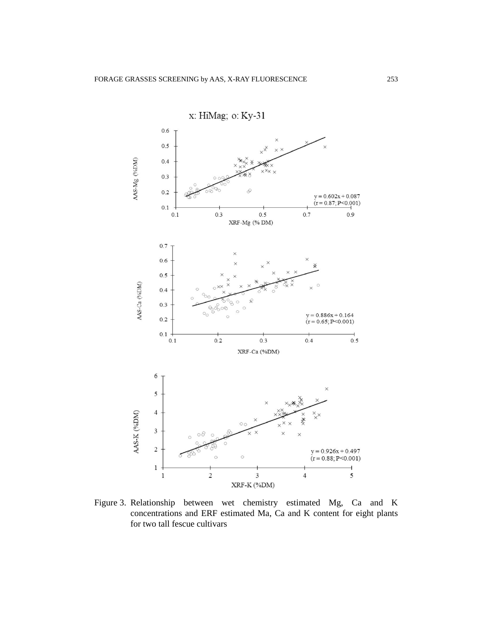

Figure 3. Relationship between wet chemistry estimated Mg, Ca and K concentrations and ERF estimated Ma, Ca and K content for eight plants for two tall fescue cultivars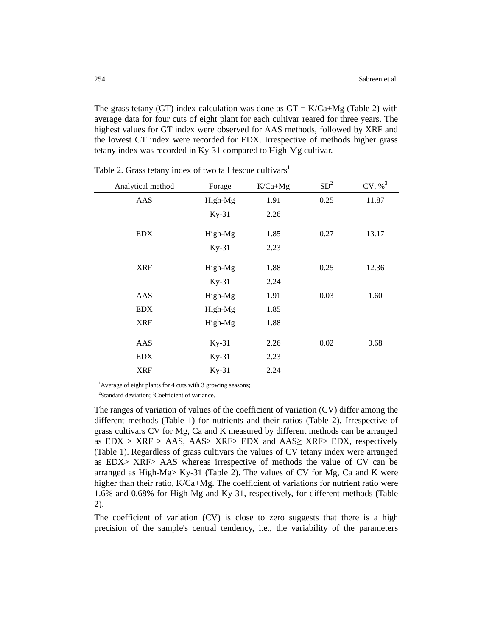The grass tetany (GT) index calculation was done as  $GT = K/Ca+Mg$  (Table 2) with average data for four cuts of eight plant for each cultivar reared for three years. The highest values for GT index were observed for AAS methods, followed by XRF and the lowest GT index were recorded for EDX. Irrespective of methods higher grass tetany index was recorded in Ky-31 compared to High-Mg cultivar.

| Analytical method | Forage  | $K/Ca+Mg$ | SD <sup>2</sup> | CV, % <sup>3</sup> |
|-------------------|---------|-----------|-----------------|--------------------|
| AAS               | High-Mg | 1.91      | 0.25            | 11.87              |
|                   | $Ky-31$ | 2.26      |                 |                    |
| <b>EDX</b>        | High-Mg | 1.85      | 0.27            | 13.17              |
|                   | $Ky-31$ | 2.23      |                 |                    |
| <b>XRF</b>        | High-Mg | 1.88      | 0.25            | 12.36              |
|                   | $Ky-31$ | 2.24      |                 |                    |
| AAS               | High-Mg | 1.91      | 0.03            | 1.60               |
| <b>EDX</b>        | High-Mg | 1.85      |                 |                    |
| <b>XRF</b>        | High-Mg | 1.88      |                 |                    |
| AAS               | $Ky-31$ | 2.26      | 0.02            | 0.68               |
| <b>EDX</b>        | $Ky-31$ | 2.23      |                 |                    |
| <b>XRF</b>        | $Ky-31$ | 2.24      |                 |                    |

Table 2. Grass tetany index of two tall fescue cultivars<sup>1</sup>

<sup>1</sup>Average of eight plants for 4 cuts with 3 growing seasons;

<sup>2</sup>Standard deviation; <sup>3</sup>Coefficient of variance.

The ranges of variation of values of the coefficient of variation (CV) differ among the different methods (Table 1) for nutrients and their ratios (Table 2). Irrespective of grass cultivars CV for Mg, Ca and K measured by different methods can be arranged as  $EDX > XRF > AAS$ ,  $AAS > XRF > EDX$  and  $AAS \geq XRF > EDX$ , respectively (Table 1). Regardless of grass cultivars the values of CV tetany index were arranged as EDX> XRF> AAS whereas irrespective of methods the value of CV can be arranged as High-Mg> Ky-31 (Table 2). The values of CV for Mg, Ca and K were higher than their ratio, K/Ca+Mg. The coefficient of variations for nutrient ratio were 1.6% and 0.68% for High-Mg and Ky-31, respectively, for different methods (Table 2).

The coefficient of variation (CV) is close to zero suggests that there is a high precision of the sample's central tendency, i.e., the variability of the parameters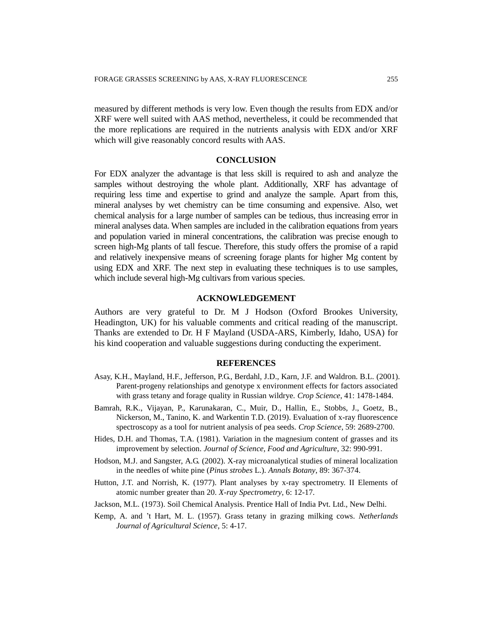measured by different methods is very low. Even though the results from EDX and/or XRF were well suited with AAS method, nevertheless, it could be recommended that the more replications are required in the nutrients analysis with EDX and/or XRF which will give reasonably concord results with AAS.

### **CONCLUSION**

For EDX analyzer the advantage is that less skill is required to ash and analyze the samples without destroying the whole plant. Additionally, XRF has advantage of requiring less time and expertise to grind and analyze the sample. Apart from this, mineral analyses by wet chemistry can be time consuming and expensive. Also, wet chemical analysis for a large number of samples can be tedious, thus increasing error in mineral analyses data. When samples are included in the calibration equations from years and population varied in mineral concentrations, the calibration was precise enough to screen high-Mg plants of tall fescue. Therefore, this study offers the promise of a rapid and relatively inexpensive means of screening forage plants for higher Mg content by using EDX and XRF. The next step in evaluating these techniques is to use samples, which include several high-Mg cultivars from various species.

### **ACKNOWLEDGEMENT**

Authors are very grateful to Dr. M J Hodson (Oxford Brookes University, Headington, UK) for his valuable comments and critical reading of the manuscript. Thanks are extended to Dr. H F Mayland (USDA-ARS, Kimberly, Idaho, USA) for his kind cooperation and valuable suggestions during conducting the experiment.

### **REFERENCES**

- Asay, K.H., Mayland, H.F., Jefferson, P.G., Berdahl, J.D., Karn, J.F. and Waldron. B.L. (2001). Parent-progeny relationships and genotype x environment effects for factors associated with grass tetany and forage quality in Russian wildrye. *Crop Science*, 41: 1478-1484.
- Bamrah, R.K., Vijayan, P., Karunakaran, C., Muir, D., Hallin, E., Stobbs, J., Goetz, B., Nickerson, M., Tanino, K. and Warkentin T.D. (2019). Evaluation of x-ray fluorescence spectroscopy as a tool for nutrient analysis of pea seeds. *Crop Science*, 59: 2689-2700.
- Hides, D.H. and Thomas, T.A. (1981). Variation in the magnesium content of grasses and its improvement by selection. *Journal of Science, Food and Agriculture*, 32: 990-991.
- Hodson, M.J. and Sangster, A.G. (2002). X-ray microanalytical studies of mineral localization in the needles of white pine (*Pinus strobes* L.). *Annals Botany*, 89: 367-374.
- Hutton, J.T. and Norrish, K. (1977). Plant analyses by x-ray spectrometry. II Elements of atomic number greater than 20. *X-ray Spectrometry*, 6: 12-17.
- Jackson, M.L. (1973). Soil Chemical Analysis. Prentice Hall of India Pvt. Ltd., New Delhi.
- Kemp, A. and 't Hart, M. L. (1957). Grass tetany in grazing milking cows. *Netherlands Journal of Agricultural Science*, 5: 4-17.